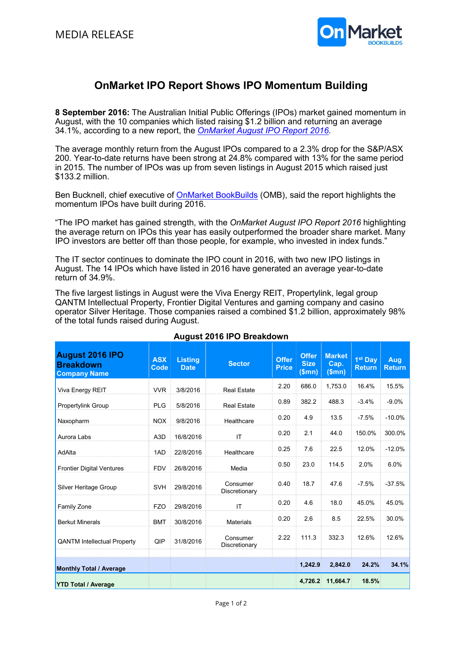

# OnMarket IPO Report Shows IPO Momentum Building

8 September 2016: The Australian Initial Public Offerings (IPOs) market gained momentum in August, with the 10 companies which listed raising \$1.2 billion and returning an average 34.1%, according to a new report, the OnMarket August IPO Report 2016.

The average monthly return from the August IPOs compared to a 2.3% drop for the S&P/ASX 200. Year-to-date returns have been strong at 24.8% compared with 13% for the same period in 2015. The number of IPOs was up from seven listings in August 2015 which raised just \$133.2 million.

Ben Bucknell, chief executive of OnMarket BookBuilds (OMB), said the report highlights the momentum IPOs have built during 2016.

"The IPO market has gained strength, with the OnMarket August IPO Report 2016 highlighting the average return on IPOs this year has easily outperformed the broader share market. Many IPO investors are better off than those people, for example, who invested in index funds."

The IT sector continues to dominate the IPO count in 2016, with two new IPO listings in August. The 14 IPOs which have listed in 2016 have generated an average year-to-date return of 34.9%.

The five largest listings in August were the Viva Energy REIT, Propertylink, legal group QANTM Intellectual Property, Frontier Digital Ventures and gaming company and casino operator Silver Heritage. Those companies raised a combined \$1.2 billion, approximately 98% of the total funds raised during August.

| August 2016 IPO<br><b>Breakdown</b><br><b>Company Name</b> | <b>ASX</b><br>Code | <b>Listing</b><br><b>Date</b> | <b>Sector</b>             | <b>Offer</b><br><b>Price</b> | <b>Offer</b><br><b>Size</b><br>(Smn) | <b>Market</b><br>Cap.<br>(Smn) | 1 <sup>st</sup> Day<br><b>Return</b> | <b>Aug</b><br><b>Return</b> |
|------------------------------------------------------------|--------------------|-------------------------------|---------------------------|------------------------------|--------------------------------------|--------------------------------|--------------------------------------|-----------------------------|
| Viva Energy REIT                                           | <b>VVR</b>         | 3/8/2016                      | <b>Real Estate</b>        | 2.20                         | 686.0                                | 1,753.0                        | 16.4%                                | 15.5%                       |
| <b>Propertylink Group</b>                                  | <b>PLG</b>         | 5/8/2016                      | <b>Real Estate</b>        | 0.89                         | 382.2                                | 488.3                          | $-3.4%$                              | $-9.0%$                     |
| Naxopharm                                                  | <b>NOX</b>         | 9/8/2016                      | Healthcare                | 0.20                         | 4.9                                  | 13.5                           | $-7.5%$                              | $-10.0%$                    |
| Aurora Labs                                                | A <sub>3</sub> D   | 16/8/2016                     | IT                        | 0.20                         | 2.1                                  | 44.0                           | 150.0%                               | 300.0%                      |
| AdAlta                                                     | 1AD                | 22/8/2016                     | Healthcare                | 0.25                         | 7.6                                  | 22.5                           | 12.0%                                | $-12.0%$                    |
| <b>Frontier Digital Ventures</b>                           | <b>FDV</b>         | 26/8/2016                     | Media                     | 0.50                         | 23.0                                 | 114.5                          | 2.0%                                 | 6.0%                        |
| Silver Heritage Group                                      | <b>SVH</b>         | 29/8/2016                     | Consumer<br>Discretionary | 0.40                         | 18.7                                 | 47.6                           | $-7.5%$                              | $-37.5%$                    |
| Family Zone                                                | <b>FZO</b>         | 29/8/2016                     | IT                        | 0.20                         | 4.6                                  | 18.0                           | 45.0%                                | 45.0%                       |
| <b>Berkut Minerals</b>                                     | <b>BMT</b>         | 30/8/2016                     | <b>Materials</b>          | 0.20                         | 2.6                                  | 8.5                            | 22.5%                                | 30.0%                       |
| <b>QANTM Intellectual Property</b>                         | QIP                | 31/8/2016                     | Consumer<br>Discretionary | 2.22                         | 111.3                                | 332.3                          | 12.6%                                | 12.6%                       |
| <b>Monthly Total / Average</b>                             |                    |                               |                           |                              | 1,242.9                              | 2,842.0                        | 24.2%                                | 34.1%                       |
| <b>YTD Total / Average</b>                                 |                    |                               |                           |                              | 4.726.2                              | 11,664.7                       | 18.5%                                |                             |

# August 2016 IPO Breakdown